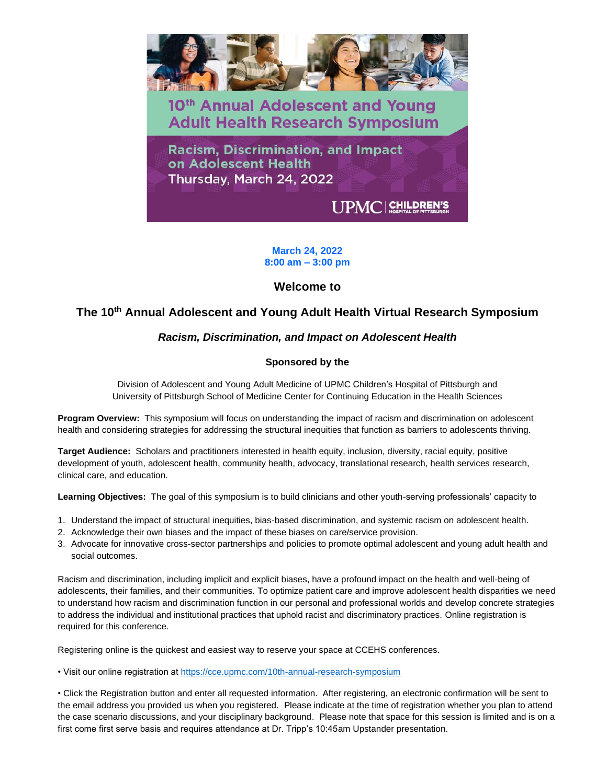

**March 24, 2022 8:00 am – 3:00 pm**

# **Welcome to**

# **The 10th Annual Adolescent and Young Adult Health Virtual Research Symposium**

# *Racism, Discrimination, and Impact on Adolescent Health*

# **Sponsored by the**

Division of Adolescent and Young Adult Medicine of UPMC Children's Hospital of Pittsburgh and University of Pittsburgh School of Medicine Center for Continuing Education in the Health Sciences

**Program Overview:** This symposium will focus on understanding the impact of racism and discrimination on adolescent health and considering strategies for addressing the structural inequities that function as barriers to adolescents thriving.

**Target Audience:** Scholars and practitioners interested in health equity, inclusion, diversity, racial equity, positive development of youth, adolescent health, community health, advocacy, translational research, health services research, clinical care, and education.

**Learning Objectives:** The goal of this symposium is to build clinicians and other youth-serving professionals' capacity to

- 1. Understand the impact of structural inequities, bias-based discrimination, and systemic racism on adolescent health.
- 2. Acknowledge their own biases and the impact of these biases on care/service provision.
- 3. Advocate for innovative cross-sector partnerships and policies to promote optimal adolescent and young adult health and social outcomes.

Racism and discrimination, including implicit and explicit biases, have a profound impact on the health and well-being of adolescents, their families, and their communities. To optimize patient care and improve adolescent health disparities we need to understand how racism and discrimination function in our personal and professional worlds and develop concrete strategies to address the individual and institutional practices that uphold racist and discriminatory practices. Online registration is required for this conference.

Registering online is the quickest and easiest way to reserve your space at CCEHS conferences.

• Visit our online registration at<https://cce.upmc.com/10th-annual-research-symposium>

• Click the Registration button and enter all requested information. After registering, an electronic confirmation will be sent to the email address you provided us when you registered. Please indicate at the time of registration whether you plan to attend the case scenario discussions, and your disciplinary background. Please note that space for this session is limited and is on a first come first serve basis and requires attendance at Dr. Tripp's 10:45am Upstander presentation.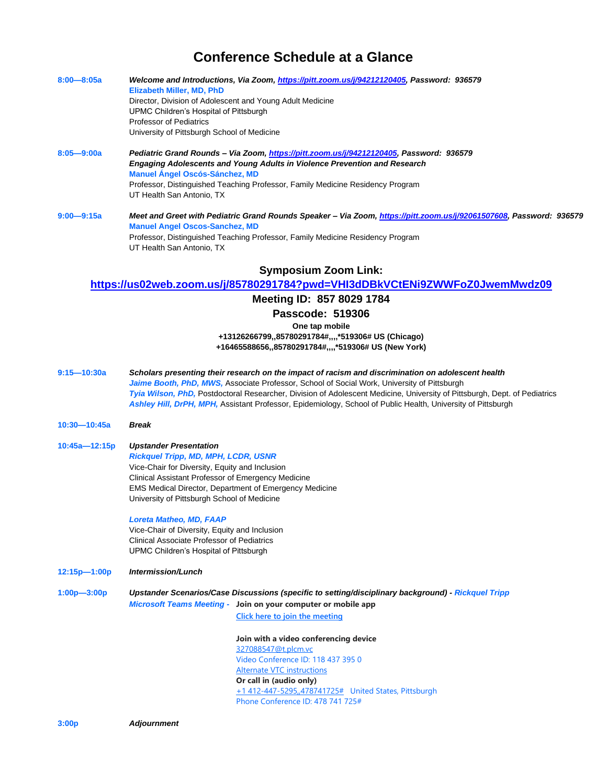# **Conference Schedule at a Glance**

| $8:00 - 8:05a$ | Welcome and Introductions, Via Zoom, https://pitt.zoom.us/j/94212120405, Password: 936579<br>Elizabeth Miller, MD, PhD |
|----------------|------------------------------------------------------------------------------------------------------------------------|
|                | Director, Division of Adolescent and Young Adult Medicine                                                              |
|                | UPMC Children's Hospital of Pittsburgh                                                                                 |
|                | Professor of Pediatrics                                                                                                |
|                | University of Pittsburgh School of Medicine                                                                            |
| $8:05 - 9:00a$ | Pediatric Grand Rounds - Via Zoom, https://pitt.zoom.us/j/94212120405, Password: 936579                                |
|                | <b>Engaging Adolescents and Young Adults in Violence Prevention and Research</b>                                       |
|                | <b>Manuel Ángel Oscós-Sánchez, MD</b>                                                                                  |
|                | Professor, Distinguished Teaching Professor, Family Medicine Residency Program                                         |
|                | UT Health San Antonio, TX                                                                                              |
| $9:00 - 9:15a$ | Meet and Greet with Pediatric Grand Rounds Speaker – Via Zoom, https://pitt.zoom.us/j/92061507608, Password: 936579    |
|                | <b>Manuel Angel Oscos-Sanchez, MD</b>                                                                                  |
|                | Professor, Distinguished Teaching Professor, Family Medicine Residency Program                                         |
|                | UT Health San Antonio, TX                                                                                              |
|                | <b>Symposium Zoom Link:</b>                                                                                            |
|                | https://us02web.zoom.us/j/85780291784?pwd=VHI3dDBkVCtENi9ZWWFoZ0JwemMwdz09                                             |
|                |                                                                                                                        |

## **Meeting ID: 857 8029 1784**

**Passcode: 519306**

**One tap mobile**

**+13126266799,,85780291784#,,,,\*519306# US (Chicago) +16465588656,,85780291784#,,,,\*519306# US (New York)**

**9:15—10:30a** *Scholars presenting their research on the impact of racism and discrimination on adolescent health* Jaime Booth, PhD, MWS, Associate Professor, School of Social Work, University of Pittsburgh *Tyia Wilson, PhD,* Postdoctoral Researcher, Division of Adolescent Medicine, University of Pittsburgh, Dept. of Pediatrics *Ashley Hill, DrPH, MPH,* Assistant Professor, Epidemiology, School of Public Health, University of Pittsburgh

- **10:30—10:45a** *Break*
- **10:45a—12:15p** *Upstander Presentation Rickquel Tripp, MD, MPH, LCDR, USNR* Vice-Chair for Diversity, Equity and Inclusion Clinical Assistant Professor of Emergency Medicine EMS Medical Director, Department of Emergency Medicine University of Pittsburgh School of Medicine

## *Loreta Matheo, MD, FAAP*

Vice-Chair of Diversity, Equity and Inclusion Clinical Associate Professor of Pediatrics UPMC Children's Hospital of Pittsburgh

**12:15p—1:00p** *Intermission/Lunch*

**1:00p—3:00p** *Upstander Scenarios/Case Discussions (specific to setting/disciplinary background) - Rickquel Tripp*

*Microsoft Teams Meeting -* **Join on your computer or mobile app [Click here to join the meeting](https://teams.microsoft.com/l/meetup-join/19%3ameeting_MGIyZjFkYjQtMDUxYS00YWM2LWFkZDgtM2IzZDYwNWU2ODVj%40thread.v2/0?context=%7b%22Tid%22%3a%228b3dd73e-4e72-4679-b191-56da1588712b%22%2c%22Oid%22%3a%2213d45a55-8508-41fb-8ce7-f0653ab9dbc8%22%7d)**

> **Join with a video conferencing device** [327088547@t.plcm.vc](mailto:327088547@t.plcm.vc) Video Conference ID: 118 437 395 0 [Alternate VTC instructions](https://dialin.plcm.vc/teams/?key=327088547&conf=1184373950) **Or call in (audio only)** [+1 412-447-5295,,478741725#](tel:+14124475295,,478741725# ) United States, Pittsburgh Phone Conference ID: 478 741 725#

**3:00p** *Adjournment*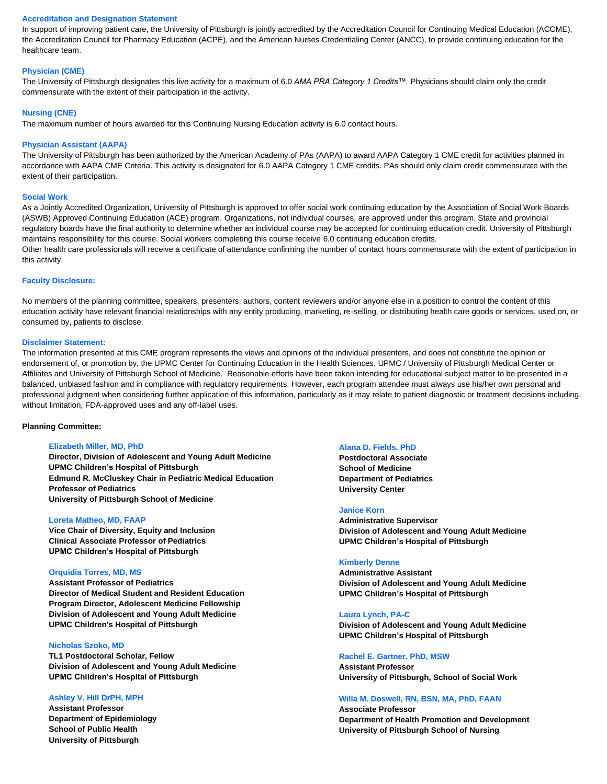### **Accreditation and Designation Statement**

In support of improving patient care, the University of Pittsburgh is jointly accredited by the Accreditation Council for Continuing Medical Education (ACCME), the Accreditation Council for Pharmacy Education (ACPE), and the American Nurses Credentialing Center (ANCC), to provide continuing education for the healthcare team.

### **Physician (CME)**

The University of Pittsburgh designates this live activity for a maximum of 6.0 *AMA PRA Category 1 Credits™.* Physicians should claim only the credit commensurate with the extent of their participation in the activity.

#### **Nursing (CNE)**

The maximum number of hours awarded for this Continuing Nursing Education activity is 6.0 contact hours.

#### **Physician Assistant (AAPA)**

The University of Pittsburgh has been authorized by the American Academy of PAs (AAPA) to award AAPA Category 1 CME credit for activities planned in accordance with AAPA CME Criteria. This activity is designated for 6.0 AAPA Category 1 CME credits. PAs should only claim credit commensurate with the extent of their participation.

## **Social Work**

As a Jointly Accredited Organization, University of Pittsburgh is approved to offer social work continuing education by the Association of Social Work Boards (ASWB) Approved Continuing Education (ACE) program. Organizations, not individual courses, are approved under this program. State and provincial regulatory boards have the final authority to determine whether an individual course may be accepted for continuing education credit. University of Pittsburgh maintains responsibility for this course. Social workers completing this course receive 6.0 continuing education credits.

Other health care professionals will receive a certificate of attendance confirming the number of contact hours commensurate with the extent of participation in this activity.

#### **Faculty Disclosure:**

No members of the planning committee, speakers, presenters, authors, content reviewers and/or anyone else in a position to control the content of this education activity have relevant financial relationships with any entity producing, marketing, re-selling, or distributing health care goods or services, used on, or consumed by, patients to disclose.

## **Disclaimer Statement:**

The information presented at this CME program represents the views and opinions of the individual presenters, and does not constitute the opinion or endorsement of, or promotion by, the UPMC Center for Continuing Education in the Health Sciences, UPMC / University of Pittsburgh Medical Center or Affiliates and University of Pittsburgh School of Medicine. Reasonable efforts have been taken intending for educational subject matter to be presented in a balanced, unbiased fashion and in compliance with regulatory requirements. However, each program attendee must always use his/her own personal and professional judgment when considering further application of this information, particularly as it may relate to patient diagnostic or treatment decisions including, without limitation, FDA-approved uses and any off-label uses.

#### **Planning Committee:**

#### **Elizabeth Miller, MD, PhD**

**Director, Division of Adolescent and Young Adult Medicine UPMC Children's Hospital of Pittsburgh Edmund R. McCluskey Chair in Pediatric Medical Education Professor of Pediatrics University of Pittsburgh School of Medicine**

#### **Loreta Matheo, MD, FAAP**

**Vice Chair of Diversity, Equity and Inclusion Clinical Associate Professor of Pediatrics UPMC Children's Hospital of Pittsburgh**

#### **Orquidia Torres, MD, MS**

**Assistant Professor of Pediatrics Director of Medical Student and Resident Education Program Director, Adolescent Medicine Fellowship Division of Adolescent and Young Adult Medicine UPMC Children's Hospital of Pittsburgh**

#### **Nicholas Szoko, MD**

**TL1 Postdoctoral Scholar, Fellow Division of Adolescent and Young Adult Medicine UPMC Children's Hospital of Pittsburgh**

#### **Ashley V. Hill DrPH, MPH**

**Assistant Professor Department of Epidemiology School of Public Health University of Pittsburgh**

#### **Alana D. Fields, PhD**

**Postdoctoral Associate School of Medicine Department of Pediatrics University Center**

#### **Janice Korn**

**Administrative Supervisor Division of Adolescent and Young Adult Medicine UPMC Children's Hospital of Pittsburgh**

#### **Kimberly Denne**

**Administrative Assistant Division of Adolescent and Young Adult Medicine UPMC Children's Hospital of Pittsburgh**

#### **Laura Lynch, PA-C**

**Division of Adolescent and Young Adult Medicine UPMC Children's Hospital of Pittsburgh**

## **Rachel E. Gartner. PhD, MSW**

**Assistant Professor University of Pittsburgh, School of Social Work**

# **Willa M. Doswell, RN, BSN, MA, PhD, FAAN**

**Associate Professor Department of Health Promotion and Development University of Pittsburgh School of Nursing**